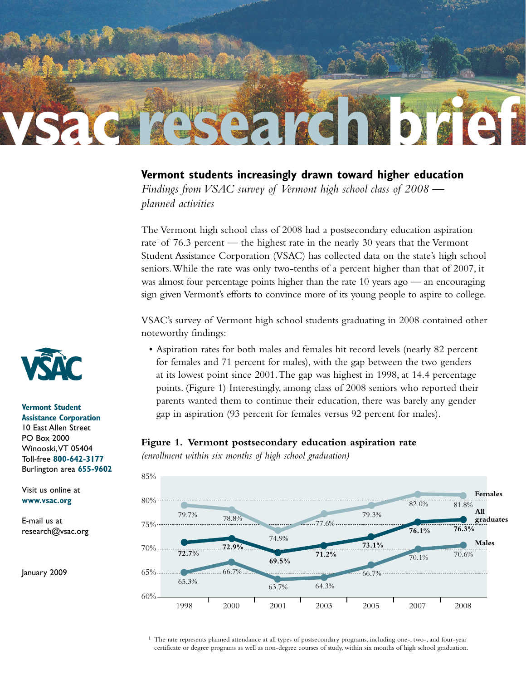

## **Vermont students increasingly drawn toward higher education**

*Findings from VSAC survey of Vermont high school class of 2008 planned activities*

The Vermont high school class of 2008 had a postsecondary education aspiration rate<sup>1</sup> of 76.3 percent — the highest rate in the nearly 30 years that the Vermont Student Assistance Corporation (VSAC) has collected data on the state's high school seniors.While the rate was only two-tenths of a percent higher than that of 2007, it was almost four percentage points higher than the rate 10 years ago — an encouraging sign given Vermont's efforts to convince more of its young people to aspire to college.

VSAC's survey of Vermont high school students graduating in 2008 contained other noteworthy findings:

• Aspiration rates for both males and females hit record levels (nearly 82 percent for females and 71 percent for males), with the gap between the two genders at its lowest point since 2001.The gap was highest in 1998, at 14.4 percentage points. (Figure 1) Interestingly, among class of 2008 seniors who reported their parents wanted them to continue their education, there was barely any gender gap in aspiration (93 percent for females versus 92 percent for males).

## **Figure 1. Vermont postsecondary education aspiration rate**

*(enrollment within six months of high school graduation)*





## **Vermont Student Assistance Corporation**

10 East Allen Street PO Box 2000 Winooski,VT 05404 Toll-free **800-642-3177** Burlington area **655-9602**

Visit us online at **www.vsac.org**

E-mail us at research@vsac.org

January 2009

1 The rate represents planned attendance at all types of postsecondary programs, including one-, two-, and four-year certificate or degree programs as well as non-degree courses of study, within six months of high school graduation.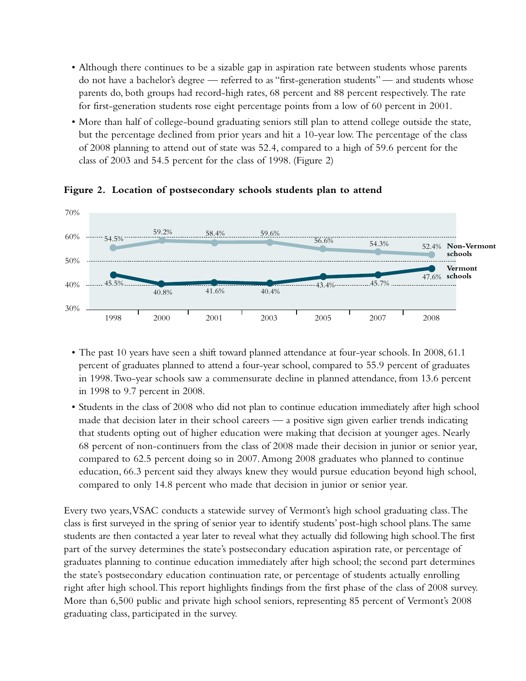- Although there continues to be a sizable gap in aspiration rate between students whose parents do not have a bachelor's degree — referred to as "first-generation students" — and students whose parents do, both groups had record-high rates, 68 percent and 88 percent respectively. The rate for first-generation students rose eight percentage points from a low of 60 percent in 2001.
- More than half of college-bound graduating seniors still plan to attend college outside the state, but the percentage declined from prior years and hit a 10-year low. The percentage of the class of 2008 planning to attend out of state was 52.4, compared to a high of 59.6 percent for the class of 2003 and 54.5 percent for the class of 1998. (Figure 2)



**Figure 2. Location of postsecondary schools students plan to attend**

- The past 10 years have seen a shift toward planned attendance at four-year schools. In 2008, 61.1 percent of graduates planned to attend a four-year school, compared to 55.9 percent of graduates in 1998.Two-year schools saw a commensurate decline in planned attendance, from 13.6 percent in 1998 to 9.7 percent in 2008.
- Students in the class of 2008 who did not plan to continue education immediately after high school made that decision later in their school careers — a positive sign given earlier trends indicating that students opting out of higher education were making that decision at younger ages. Nearly 68 percent of non-continuers from the class of 2008 made their decision in junior or senior year, compared to 62.5 percent doing so in 2007.Among 2008 graduates who planned to continue education, 66.3 percent said they always knew they would pursue education beyond high school, compared to only 14.8 percent who made that decision in junior or senior year.

Every two years,VSAC conducts a statewide survey of Vermont's high school graduating class.The class is first surveyed in the spring of senior year to identify students' post-high school plans.The same students are then contacted a year later to reveal what they actually did following high school.The first part of the survey determines the state's postsecondary education aspiration rate, or percentage of graduates planning to continue education immediately after high school; the second part determines the state's postsecondary education continuation rate, or percentage of students actually enrolling right after high school.This report highlights findings from the first phase of the class of 2008 survey. More than 6,500 public and private high school seniors, representing 85 percent of Vermont's 2008 graduating class, participated in the survey.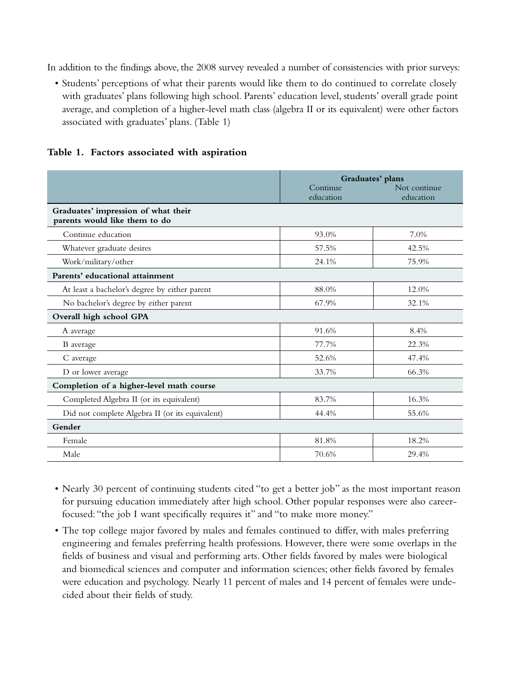In addition to the findings above, the 2008 survey revealed a number of consistencies with prior surveys:

• Students' perceptions of what their parents would like them to do continued to correlate closely with graduates' plans following high school. Parents' education level, students' overall grade point average, and completion of a higher-level math class (algebra II or its equivalent) were other factors associated with graduates' plans. (Table 1)

|  |  |  | Table 1. Factors associated with aspiration |  |  |
|--|--|--|---------------------------------------------|--|--|
|--|--|--|---------------------------------------------|--|--|

|                                                                      | Graduates' plans      |                           |
|----------------------------------------------------------------------|-----------------------|---------------------------|
|                                                                      | Continue<br>education | Not continue<br>education |
| Graduates' impression of what their<br>parents would like them to do |                       |                           |
| Continue education                                                   | 93.0%                 | 7.0%                      |
| Whatever graduate desires                                            | 57.5%                 | 42.5%                     |
| Work/military/other                                                  | 24.1%                 | 75.9%                     |
| Parents' educational attainment                                      |                       |                           |
| At least a bachelor's degree by either parent                        | 88.0%                 | 12.0%                     |
| No bachelor's degree by either parent                                | 67.9%                 | 32.1%                     |
| Overall high school GPA                                              |                       |                           |
| A average                                                            | 91.6%                 | 8.4%                      |
| B average                                                            | 77.7%                 | 22.3%                     |
| C average                                                            | 52.6%                 | 47.4%                     |
| D or lower average                                                   | 33.7%                 | 66.3%                     |
| Completion of a higher-level math course                             |                       |                           |
| Completed Algebra II (or its equivalent)                             | 83.7%                 | 16.3%                     |
| Did not complete Algebra II (or its equivalent)                      | 44.4%                 | 55.6%                     |
| Gender                                                               |                       |                           |
| Female                                                               | 81.8%                 | 18.2%                     |
| Male                                                                 | 70.6%                 | 29.4%                     |

- Nearly 30 percent of continuing students cited "to get a better job" as the most important reason for pursuing education immediately after high school. Other popular responses were also careerfocused:"the job I want specifically requires it" and "to make more money."
- The top college major favored by males and females continued to differ, with males preferring engineering and females preferring health professions. However, there were some overlaps in the fields of business and visual and performing arts. Other fields favored by males were biological and biomedical sciences and computer and information sciences; other fields favored by females were education and psychology. Nearly 11 percent of males and 14 percent of females were undecided about their fields of study.